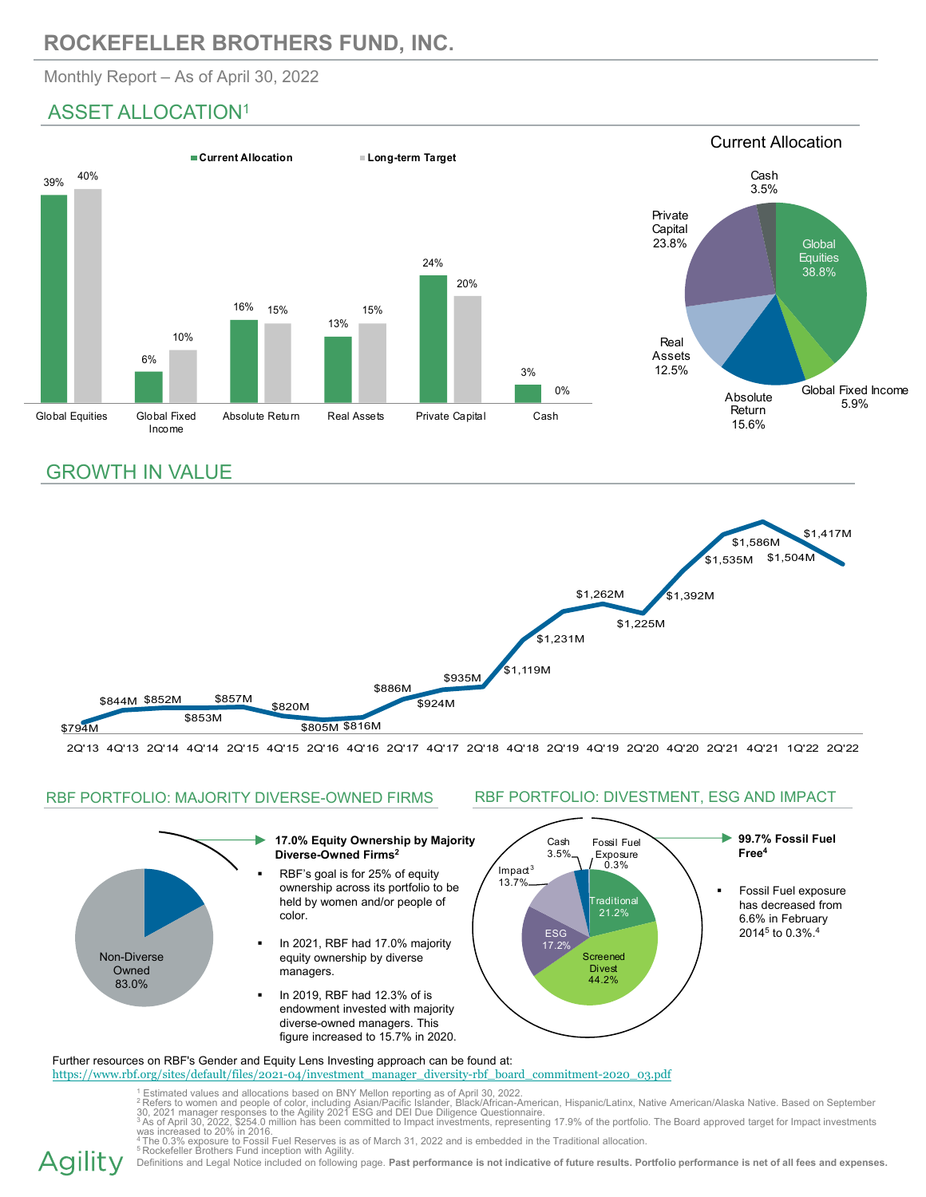# **ROCKEFELLER BROTHERS FUND, INC.**

Monthly Report – As of April 30, 2022

## ASSET ALLOCATION1



## GROWTH IN VALUE



2Q'13 4Q'13 2Q'14 4Q'14 2Q'15 4Q'15 2Q'16 4Q'16 2Q'17 4Q'17 2Q'18 4Q'18 2Q'19 4Q'19 2Q'20 4Q'20 2Q'21 4Q'21 1Q'22 2Q'22

## RBF PORTFOLIO: MAJORITY DIVERSE-OWNED FIRMS



https://www.rbf.org/sites/default/files/2021-04/investment\_manager\_diversity-rbf\_board\_commitment-2020\_03.pdf

<sup>1</sup> Estimated values and allocations based on BNY Mellon reporting as of April 30, 2022.<br><sup>2</sup> Refers to women and people of color, including Asian/Pacific Islander, Black/African-American, Hispanic/Latinx, Native American/A

Agility Definitions and Legal Notice included on following page. **Past performance is not indicative of future results. Portfolio performance is net of all fees and expenses.** 

### RBF PORTFOLIO: DIVESTMENT, ESG AND IMPACT